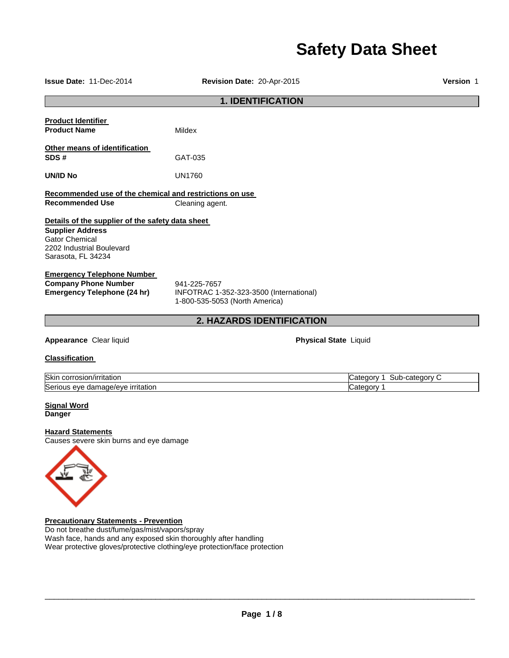# **Safety Data Sheet**

| Issue Date: 11-Dec-2014                                                                                                                                                                                                                        | Revision Date: 20-Apr-2015                                                                | Version 1                               |  |  |
|------------------------------------------------------------------------------------------------------------------------------------------------------------------------------------------------------------------------------------------------|-------------------------------------------------------------------------------------------|-----------------------------------------|--|--|
| <b>1. IDENTIFICATION</b>                                                                                                                                                                                                                       |                                                                                           |                                         |  |  |
| <b>Product Identifier</b><br><b>Product Name</b>                                                                                                                                                                                               | <b>Mildex</b>                                                                             |                                         |  |  |
| Other means of identification<br>SDS#                                                                                                                                                                                                          | GAT-035                                                                                   |                                         |  |  |
| UN/ID No                                                                                                                                                                                                                                       | <b>UN1760</b>                                                                             |                                         |  |  |
| Recommended use of the chemical and restrictions on use<br><b>Recommended Use</b>                                                                                                                                                              |                                                                                           |                                         |  |  |
| Details of the supplier of the safety data sheet<br><b>Supplier Address</b><br><b>Gator Chemical</b><br>2202 Industrial Boulevard<br>Sarasota, FL 34234                                                                                        | Cleaning agent.                                                                           |                                         |  |  |
| <b>Emergency Telephone Number</b><br><b>Company Phone Number</b><br><b>Emergency Telephone (24 hr)</b>                                                                                                                                         | 941-225-7657<br>INFOTRAC 1-352-323-3500 (International)<br>1-800-535-5053 (North America) |                                         |  |  |
|                                                                                                                                                                                                                                                | 2. HAZARDS IDENTIFICATION                                                                 |                                         |  |  |
| Appearance Clear liquid                                                                                                                                                                                                                        | <b>Physical State Liquid</b>                                                              |                                         |  |  |
| <b>Classification</b>                                                                                                                                                                                                                          |                                                                                           |                                         |  |  |
| Skin corrosion/irritation<br>Serious eye damage/eye irritation                                                                                                                                                                                 |                                                                                           | Category 1 Sub-category C<br>Category 1 |  |  |
| <b>Signal Word</b><br><b>Danger</b>                                                                                                                                                                                                            |                                                                                           |                                         |  |  |
| <b>Hazard Statements</b><br>Causes severe skin burns and eye damage                                                                                                                                                                            |                                                                                           |                                         |  |  |
| <b>Precautionary Statements - Prevention</b><br>Do not breathe dust/fume/gas/mist/vapors/spray<br>Wash face, hands and any exposed skin thoroughly after handling<br>Wear protective gloves/protective clothing/eye protection/face protection |                                                                                           |                                         |  |  |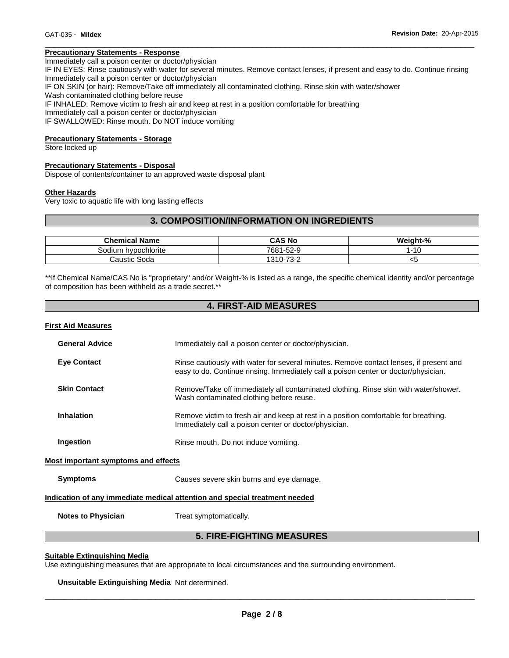### **Precautionary Statements - Response**

Immediately call a poison center or doctor/physician

IF IN EYES: Rinse cautiously with water for several minutes. Remove contact lenses, if present and easy to do. Continue rinsing Immediately call a poison center or doctor/physician

\_\_\_\_\_\_\_\_\_\_\_\_\_\_\_\_\_\_\_\_\_\_\_\_\_\_\_\_\_\_\_\_\_\_\_\_\_\_\_\_\_\_\_\_\_\_\_\_\_\_\_\_\_\_\_\_\_\_\_\_\_\_\_\_\_\_\_\_\_\_\_\_\_\_\_\_\_\_\_\_\_\_\_\_\_\_\_\_\_\_\_\_\_

IF ON SKIN (or hair): Remove/Take off immediately all contaminated clothing. Rinse skin with water/shower

Wash contaminated clothing before reuse

IF INHALED: Remove victim to fresh air and keep at rest in a position comfortable for breathing

Immediately call a poison center or doctor/physician

IF SWALLOWED: Rinse mouth. Do NOT induce vomiting

### **Precautionary Statements - Storage**

Store locked up

### **Precautionary Statements - Disposal**

Dispose of contents/container to an approved waste disposal plant

### **Other Hazards**

Very toxic to aquatic life with long lasting effects

### **3. COMPOSITION/INFORMATION ON INGREDIENTS**

| <b>Chemical Name</b>     | CAS No    | Weight-%    |
|--------------------------|-----------|-------------|
| hvpochlorite ו<br>30dium | 7681-52-9 | $-10$<br>⊣ບ |
| Caustic Soda             | 1310-73-2 | ◡           |

\*\*If Chemical Name/CAS No is "proprietary" and/or Weight-% is listed as a range, the specific chemical identity and/or percentage of composition has been withheld as a trade secret.\*\*

# **4. FIRST-AID MEASURES**

### **First Aid Measures**

| <b>General Advice</b>               | Immediately call a poison center or doctor/physician.                                                                                                                         |
|-------------------------------------|-------------------------------------------------------------------------------------------------------------------------------------------------------------------------------|
| <b>Eye Contact</b>                  | Rinse cautiously with water for several minutes. Remove contact lenses, if present and<br>easy to do. Continue rinsing. Immediately call a poison center or doctor/physician. |
| <b>Skin Contact</b>                 | Remove/Take off immediately all contaminated clothing. Rinse skin with water/shower.<br>Wash contaminated clothing before reuse.                                              |
| <b>Inhalation</b>                   | Remove victim to fresh air and keep at rest in a position comfortable for breathing.<br>Immediately call a poison center or doctor/physician.                                 |
| Ingestion                           | Rinse mouth. Do not induce vomiting.                                                                                                                                          |
| Most important symptoms and effects |                                                                                                                                                                               |
| <b>Symptoms</b>                     | Causes severe skin burns and eye damage.                                                                                                                                      |
|                                     |                                                                                                                                                                               |

### **Indication of any immediate medical attention and special treatment needed**

**Notes to Physician Treat symptomatically.** 

# **5. FIRE-FIGHTING MEASURES**

### **Suitable Extinguishing Media**

Use extinguishing measures that are appropriate to local circumstances and the surrounding environment.

**Unsuitable Extinguishing Media** Not determined.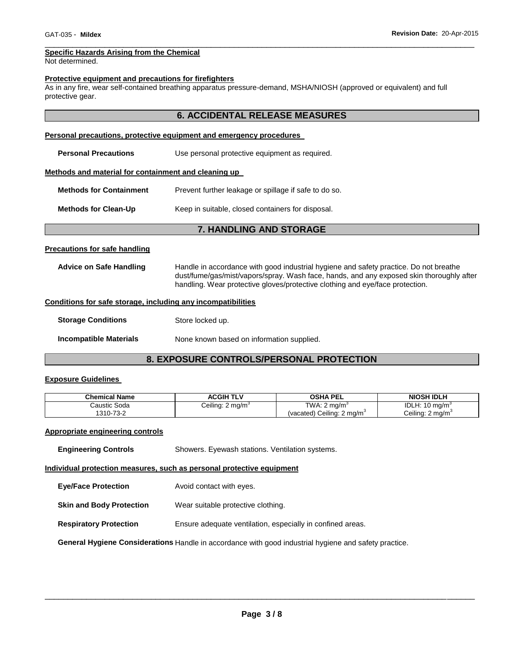### \_\_\_\_\_\_\_\_\_\_\_\_\_\_\_\_\_\_\_\_\_\_\_\_\_\_\_\_\_\_\_\_\_\_\_\_\_\_\_\_\_\_\_\_\_\_\_\_\_\_\_\_\_\_\_\_\_\_\_\_\_\_\_\_\_\_\_\_\_\_\_\_\_\_\_\_\_\_\_\_\_\_\_\_\_\_\_\_\_\_\_\_\_ **Specific Hazards Arising from the Chemical**

Not determined.

### **Protective equipment and precautions for firefighters**

As in any fire, wear self-contained breathing apparatus pressure-demand, MSHA/NIOSH (approved or equivalent) and full protective gear.

### **6. ACCIDENTAL RELEASE MEASURES**

### **Personal precautions, protective equipment and emergency procedures**

**Personal Precautions** Use personal protective equipment as required.

### **Methods and material for containment and cleaning up**

**Methods for Containment** Prevent further leakage or spillage if safe to do so.

**Methods for Clean-Up Keep in suitable, closed containers for disposal.** 

### **7. HANDLING AND STORAGE**

### **Precautions for safe handling**

**Advice on Safe Handling** Handle in accordance with good industrial hygiene and safety practice. Do not breathe dust/fume/gas/mist/vapors/spray. Wash face, hands, and any exposed skin thoroughly after handling. Wear protective gloves/protective clothing and eye/face protection.

### **Conditions for safe storage, including any incompatibilities**

| <b>Storage Conditions</b> | Store locked up.                          |
|---------------------------|-------------------------------------------|
| Incompatible Materials    | None known based on information supplied. |

# **8. EXPOSURE CONTROLS/PERSONAL PROTECTION**

### **Exposure Guidelines**

| <b>Chemical Name</b> | <b>ACGIH TLV</b>            | <b>OSHA PEL</b>                       | <b>NIOSH IDLH</b>                      |
|----------------------|-----------------------------|---------------------------------------|----------------------------------------|
| Caustic Soda         | Ceiling: $2 \text{ mg/m}^3$ | TWA: $2 \text{ ma/m}^3$               | <b>IDLH: 10</b><br>$10 \text{ ma/m}^3$ |
| 1310-73-2            |                             | (vacated) Ceiling: $2 \text{ ma/m}^3$ | Ceiling: 2 mg/m <sup>3</sup>           |

# **Appropriate engineering controls**

| <b>Engineering Controls</b> | Showers. Eyewash stations. Ventilation systems. |
|-----------------------------|-------------------------------------------------|
|                             |                                                 |

### **Individual protection measures, such as personal protective equipment**

- **Eye/Face Protection** Avoid contact with eyes.
- **Skin and Body Protection** Wear suitable protective clothing.
- **Respiratory Protection** Ensure adequate ventilation, especially in confined areas.

**General Hygiene Considerations** Handle in accordance with good industrial hygiene and safety practice.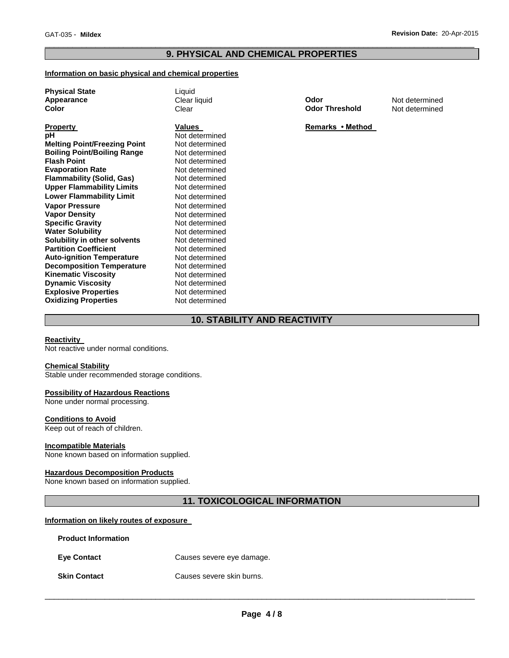### \_\_\_\_\_\_\_\_\_\_\_\_\_\_\_\_\_\_\_\_\_\_\_\_\_\_\_\_\_\_\_\_\_\_\_\_\_\_\_\_\_\_\_\_\_\_\_\_\_\_\_\_\_\_\_\_\_\_\_\_\_\_\_\_\_\_\_\_\_\_\_\_\_\_\_\_\_\_\_\_\_\_\_\_\_\_\_\_\_\_\_\_\_ **9. PHYSICAL AND CHEMICAL PROPERTIES**

### **Information on basic physical and chemical properties**

| <b>Physical State</b><br>Appearance<br>Color                                                                                                                                                                                                                                                                                                                                                                                                                                                                                                                                                                                          | Liquid<br>Clear liquid<br>Clear                                                                                                                                                                                                                                                                                                                                                | Odor<br><b>Odor Threshold</b> | Not determined<br>Not determined |
|---------------------------------------------------------------------------------------------------------------------------------------------------------------------------------------------------------------------------------------------------------------------------------------------------------------------------------------------------------------------------------------------------------------------------------------------------------------------------------------------------------------------------------------------------------------------------------------------------------------------------------------|--------------------------------------------------------------------------------------------------------------------------------------------------------------------------------------------------------------------------------------------------------------------------------------------------------------------------------------------------------------------------------|-------------------------------|----------------------------------|
| <b>Property</b><br>рH<br><b>Melting Point/Freezing Point</b><br><b>Boiling Point/Boiling Range</b><br><b>Flash Point</b><br><b>Evaporation Rate</b><br><b>Flammability (Solid, Gas)</b><br><b>Upper Flammability Limits</b><br><b>Lower Flammability Limit</b><br><b>Vapor Pressure</b><br><b>Vapor Density</b><br><b>Specific Gravity</b><br><b>Water Solubility</b><br>Solubility in other solvents<br><b>Partition Coefficient</b><br><b>Auto-ignition Temperature</b><br><b>Decomposition Temperature</b><br><b>Kinematic Viscosity</b><br><b>Dynamic Viscosity</b><br><b>Explosive Properties</b><br><b>Oxidizing Properties</b> | Values<br>Not determined<br>Not determined<br>Not determined<br>Not determined<br>Not determined<br>Not determined<br>Not determined<br>Not determined<br>Not determined<br>Not determined<br>Not determined<br>Not determined<br>Not determined<br>Not determined<br>Not determined<br>Not determined<br>Not determined<br>Not determined<br>Not determined<br>Not determined | Remarks • Method              |                                  |

# **10. STABILITY AND REACTIVITY**

### **Reactivity**

Not reactive under normal conditions.

### **Chemical Stability**

Stable under recommended storage conditions.

### **Possibility of Hazardous Reactions**

None under normal processing.

### **Conditions to Avoid**

Keep out of reach of children.

### **Incompatible Materials**

None known based on information supplied.

### **Hazardous Decomposition Products**

None known based on information supplied.

# **11. TOXICOLOGICAL INFORMATION**

### **Information on likely routes of exposure**

| <b>Product Information</b> |                           |
|----------------------------|---------------------------|
| <b>Eye Contact</b>         | Causes severe eye damage. |
| <b>Skin Contact</b>        | Causes severe skin burns. |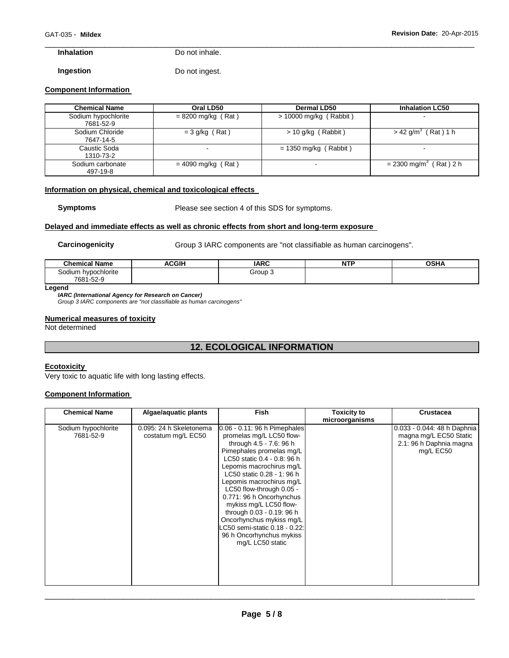# **Inhalation** Do not inhale.

**Ingestion Do not ingest.** 

### **Component Information**

| <b>Chemical Name</b>             | Oral LD50                | <b>Dermal LD50</b>       | <b>Inhalation LC50</b>               |
|----------------------------------|--------------------------|--------------------------|--------------------------------------|
| Sodium hypochlorite<br>7681-52-9 | $= 8200$ mg/kg (Rat)     | $> 10000$ mg/kg (Rabbit) | $\overline{\phantom{0}}$             |
| Sodium Chloride<br>7647-14-5     | $=$ 3 g/kg (Rat)         | $> 10$ g/kg (Rabbit)     | $>$ 42 g/m <sup>3</sup> (Rat) 1 h    |
| Caustic Soda<br>1310-73-2        | $\overline{\phantom{0}}$ | $= 1350$ mg/kg (Rabbit)  |                                      |
| Sodium carbonate<br>497-19-8     | $=$ 4090 mg/kg (Rat)     | $\sim$                   | $= 2300$ mg/m <sup>3</sup> (Rat) 2 h |

\_\_\_\_\_\_\_\_\_\_\_\_\_\_\_\_\_\_\_\_\_\_\_\_\_\_\_\_\_\_\_\_\_\_\_\_\_\_\_\_\_\_\_\_\_\_\_\_\_\_\_\_\_\_\_\_\_\_\_\_\_\_\_\_\_\_\_\_\_\_\_\_\_\_\_\_\_\_\_\_\_\_\_\_\_\_\_\_\_\_\_\_\_

### **Information on physical, chemical and toxicological effects**

**Symptoms** Please see section 4 of this SDS for symptoms.

### **Delayed and immediate effects as well as chronic effects from short and long-term exposure**

**Carcinogenicity Group 3 IARC components are "not classifiable as human carcinogens".** 

| <sup>ा</sup> Name<br>Chemical | ACGIH | <b>IARC</b> | $\sim$<br>N<br>. | <b>OSHA</b> |
|-------------------------------|-------|-------------|------------------|-------------|
| Sodium hypochlorite           |       | Group 3     |                  |             |
| 7681-52-9                     |       |             |                  |             |

### **Legend**

### *IARC (International Agency for Research on Cancer)*

*Group 3 IARC components are "not classifiable as human carcinogens"* 

### **Numerical measures of toxicity**

Not determined

# **12. ECOLOGICAL INFORMATION**

## **Ecotoxicity**

Very toxic to aquatic life with long lasting effects.

### **Component Information**

| <b>Chemical Name</b>             | Algae/aquatic plants                          | Fish                                                                                                                                                                                                                                                                                                                                                                                                                                                             | Toxicity to<br>microorganisms | <b>Crustacea</b>                                                                              |
|----------------------------------|-----------------------------------------------|------------------------------------------------------------------------------------------------------------------------------------------------------------------------------------------------------------------------------------------------------------------------------------------------------------------------------------------------------------------------------------------------------------------------------------------------------------------|-------------------------------|-----------------------------------------------------------------------------------------------|
| Sodium hypochlorite<br>7681-52-9 | 0.095: 24 h Skeletonema<br>costatum mg/L EC50 | 0.06 - 0.11: 96 h Pimephales<br>promelas mg/L LC50 flow-<br>through 4.5 - 7.6: 96 h<br>Pimephales promelas mg/L<br>LC50 static 0.4 - 0.8: 96 h<br>Lepomis macrochirus mg/L<br>LC50 static 0.28 - 1: 96 h<br>Lepomis macrochirus mg/L<br>LC50 flow-through 0.05 -<br>0.771: 96 h Oncorhynchus<br>mykiss mg/L LC50 flow-<br>through 0.03 - 0.19: 96 h<br>Oncorhynchus mykiss mg/L<br>LC50 semi-static 0.18 - 0.22:<br>96 h Oncorhynchus mykiss<br>mg/L LC50 static |                               | 0.033 - 0.044: 48 h Daphnia<br>magna mg/L EC50 Static<br>2.1: 96 h Daphnia magna<br>mg/L EC50 |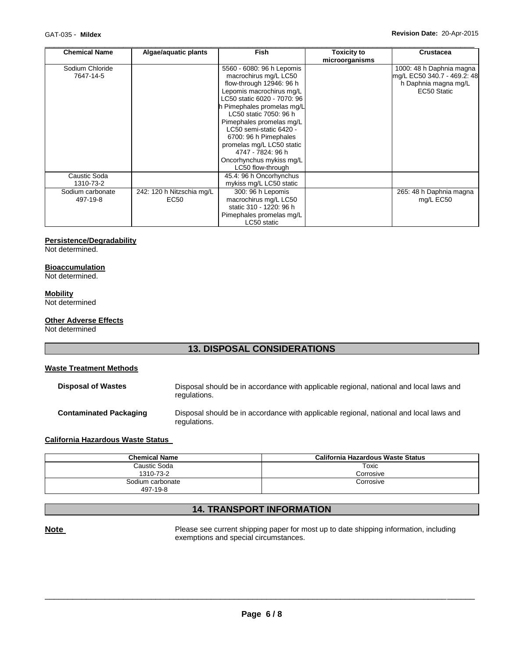| <b>Chemical Name</b>         | Algae/aquatic plants                          | <b>Fish</b>                                                                                                                                                                                                                                                                                                                                                                          | <b>Toxicity to</b><br>microorganisms | <b>Crustacea</b>                                                                               |
|------------------------------|-----------------------------------------------|--------------------------------------------------------------------------------------------------------------------------------------------------------------------------------------------------------------------------------------------------------------------------------------------------------------------------------------------------------------------------------------|--------------------------------------|------------------------------------------------------------------------------------------------|
| Sodium Chloride<br>7647-14-5 |                                               | 5560 - 6080: 96 h Lepomis<br>macrochirus mg/L LC50<br>flow-through 12946: 96 h<br>Lepomis macrochirus mg/L<br>LC50 static 6020 - 7070: 96<br>h Pimephales promelas mg/L<br>LC50 static 7050: 96 h<br>Pimephales promelas mg/L<br>LC50 semi-static 6420 -<br>6700: 96 h Pimephales<br>promelas mg/L LC50 static<br>4747 - 7824: 96 h<br>Oncorhynchus mykiss mg/L<br>LC50 flow-through |                                      | 1000: 48 h Daphnia magna<br>mg/L EC50 340.7 - 469.2: 48<br>h Daphnia magna mg/L<br>EC50 Static |
| Caustic Soda<br>1310-73-2    |                                               | 45.4: 96 h Oncorhynchus<br>mykiss mg/L LC50 static                                                                                                                                                                                                                                                                                                                                   |                                      |                                                                                                |
| Sodium carbonate<br>497-19-8 | 242: 120 h Nitzschia mg/L<br>EC <sub>50</sub> | 300: 96 h Lepomis<br>macrochirus mg/L LC50<br>static 310 - 1220: 96 h<br>Pimephales promelas mg/L<br>LC50 static                                                                                                                                                                                                                                                                     |                                      | 265: 48 h Daphnia magna<br>mg/L EC50                                                           |

# **Persistence/Degradability**

Not determined.

### **Bioaccumulation**

Not determined.

### **Mobility**

Not determined

# **Other Adverse Effects**

Not determined

# **13. DISPOSAL CONSIDERATIONS**

### **Waste Treatment Methods**

| <b>Disposal of Wastes</b>     | Disposal should be in accordance with applicable regional, national and local laws and<br>regulations. |
|-------------------------------|--------------------------------------------------------------------------------------------------------|
| <b>Contaminated Packaging</b> | Disposal should be in accordance with applicable regional, national and local laws and<br>regulations. |

## **California Hazardous Waste Status**

| <b>Chemical Name</b> | California Hazardous Waste Status |
|----------------------|-----------------------------------|
| Caustic Soda         | Toxic                             |
| 1310-73-2            | Corrosive                         |
| Sodium carbonate     | Corrosive                         |
| 497-19-8             |                                   |

# **14. TRANSPORT INFORMATION**

**Note Note Please see current shipping paper for most up to date shipping information, including** exemptions and special circumstances.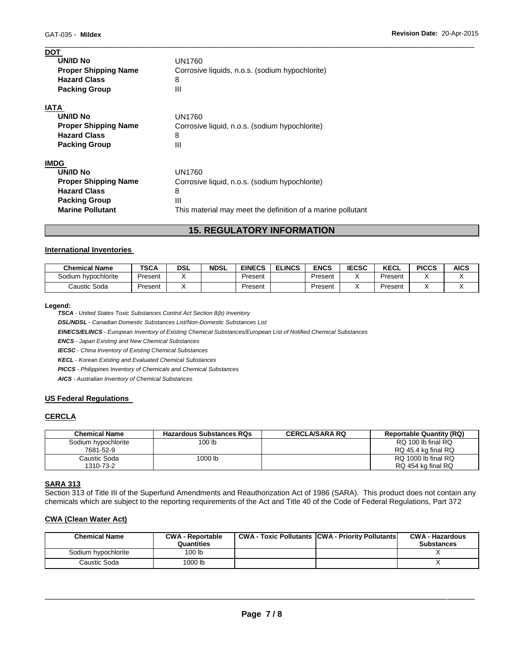| <b>DOT</b>                  |                                                             |
|-----------------------------|-------------------------------------------------------------|
| UN/ID No                    | UN1760                                                      |
| <b>Proper Shipping Name</b> | Corrosive liquids, n.o.s. (sodium hypochlorite)             |
| <b>Hazard Class</b>         | 8                                                           |
| <b>Packing Group</b>        | Ш                                                           |
| <b>IATA</b>                 |                                                             |
| <b>UN/ID No</b>             | UN1760                                                      |
| <b>Proper Shipping Name</b> | Corrosive liquid, n.o.s. (sodium hypochlorite)              |
| <b>Hazard Class</b>         | 8                                                           |
| <b>Packing Group</b>        | Ш                                                           |
| <b>IMDG</b>                 |                                                             |
| UN/ID No                    | UN1760                                                      |
| <b>Proper Shipping Name</b> | Corrosive liquid, n.o.s. (sodium hypochlorite)              |
| <b>Hazard Class</b>         | 8                                                           |
| <b>Packing Group</b>        | Ш                                                           |
| <b>Marine Pollutant</b>     | This material may meet the definition of a marine pollutant |
|                             |                                                             |

# **15. REGULATORY INFORMATION**

\_\_\_\_\_\_\_\_\_\_\_\_\_\_\_\_\_\_\_\_\_\_\_\_\_\_\_\_\_\_\_\_\_\_\_\_\_\_\_\_\_\_\_\_\_\_\_\_\_\_\_\_\_\_\_\_\_\_\_\_\_\_\_\_\_\_\_\_\_\_\_\_\_\_\_\_\_\_\_\_\_\_\_\_\_\_\_\_\_\_\_\_\_

### **International Inventories**

| <b>Chemical Name</b> | TSCA    | DSL | <b>NDSL</b> | <b>EINECS</b> | <b>ELINCS</b> | ENCS    | <b>IECSC</b> | KECL    | <b>PICCS</b> | <b>AICS</b> |
|----------------------|---------|-----|-------------|---------------|---------------|---------|--------------|---------|--------------|-------------|
| Sodium hypochlorite  | Present |     |             | Present       |               | Present |              | Present |              |             |
| Caustic Soda         | Present |     |             | Present       |               | Present |              | Present |              |             |

### **Legend:**

*TSCA - United States Toxic Substances Control Act Section 8(b) Inventory* 

*DSL/NDSL - Canadian Domestic Substances List/Non-Domestic Substances List* 

*EINECS/ELINCS - European Inventory of Existing Chemical Substances/European List of Notified Chemical Substances* 

*ENCS - Japan Existing and New Chemical Substances* 

*IECSC - China Inventory of Existing Chemical Substances* 

*KECL - Korean Existing and Evaluated Chemical Substances* 

*PICCS - Philippines Inventory of Chemicals and Chemical Substances* 

*AICS - Australian Inventory of Chemical Substances* 

### **US Federal Regulations**

### **CERCLA**

| <b>Chemical Name</b> | <b>Hazardous Substances RQs</b> | <b>CERCLA/SARA RQ</b> | <b>Reportable Quantity (RQ)</b> |
|----------------------|---------------------------------|-----------------------|---------------------------------|
| Sodium hypochlorite  | 100 lb                          |                       | RQ 100 lb final RQ              |
| 7681-52-9            |                                 |                       | RQ 45.4 kg final RQ             |
| Caustic Soda         | 1000 lb                         |                       | RQ 1000 lb final RQ             |
| 1310-73-2            |                                 |                       | RQ 454 kg final RQ              |

### **SARA 313**

Section 313 of Title III of the Superfund Amendments and Reauthorization Act of 1986 (SARA). This product does not contain any chemicals which are subject to the reporting requirements of the Act and Title 40 of the Code of Federal Regulations, Part 372

### **CWA (Clean Water Act)**

| <b>Chemical Name</b> | <b>CWA - Reportable</b><br>Quantities | <b>CWA - Toxic Pollutants CWA - Priority Pollutants</b> | <b>CWA - Hazardous</b><br><b>Substances</b> |
|----------------------|---------------------------------------|---------------------------------------------------------|---------------------------------------------|
| Sodium hypochlorite  | 100 <sub>lb</sub>                     |                                                         |                                             |
| Caustic Soda         | 1000 lb                               |                                                         |                                             |